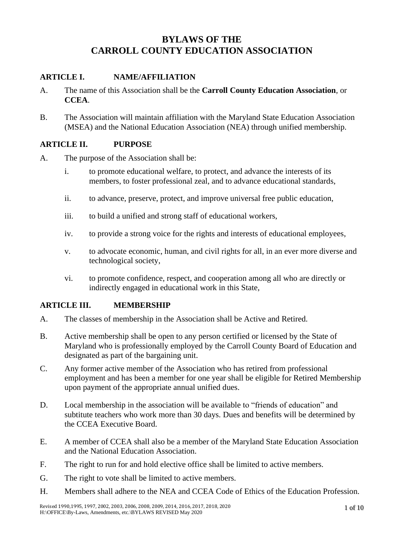# **BYLAWS OF THE CARROLL COUNTY EDUCATION ASSOCIATION**

## **ARTICLE I. NAME/AFFILIATION**

- A. The name of this Association shall be the **Carroll County Education Association**, or **CCEA**.
- B. The Association will maintain affiliation with the Maryland State Education Association (MSEA) and the National Education Association (NEA) through unified membership.

## **ARTICLE II. PURPOSE**

- A. The purpose of the Association shall be:
	- i. to promote educational welfare, to protect, and advance the interests of its members, to foster professional zeal, and to advance educational standards,
	- ii. to advance, preserve, protect, and improve universal free public education,
	- iii. to build a unified and strong staff of educational workers,
	- iv. to provide a strong voice for the rights and interests of educational employees,
	- v. to advocate economic, human, and civil rights for all, in an ever more diverse and technological society,
	- vi. to promote confidence, respect, and cooperation among all who are directly or indirectly engaged in educational work in this State,

## **ARTICLE III. MEMBERSHIP**

- A. The classes of membership in the Association shall be Active and Retired.
- B. Active membership shall be open to any person certified or licensed by the State of Maryland who is professionally employed by the Carroll County Board of Education and designated as part of the bargaining unit.
- C. Any former active member of the Association who has retired from professional employment and has been a member for one year shall be eligible for Retired Membership upon payment of the appropriate annual unified dues.
- D. Local membership in the association will be available to "friends of education" and subtitute teachers who work more than 30 days. Dues and benefits will be determined by the CCEA Executive Board.
- E. A member of CCEA shall also be a member of the Maryland State Education Association and the National Education Association.
- F. The right to run for and hold elective office shall be limited to active members.
- G. The right to vote shall be limited to active members.
- H. Members shall adhere to the NEA and CCEA Code of Ethics of the Education Profession.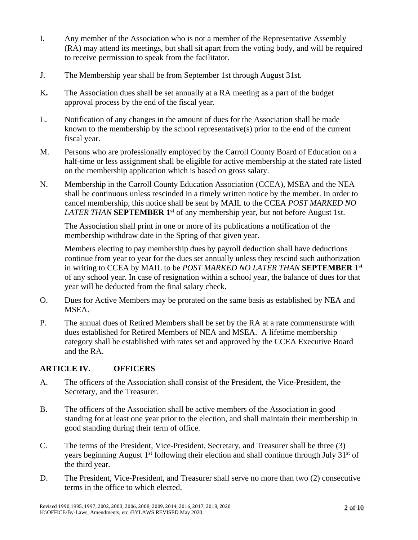- I. Any member of the Association who is not a member of the Representative Assembly (RA) may attend its meetings, but shall sit apart from the voting body, and will be required to receive permission to speak from the facilitator.
- J. The Membership year shall be from September 1st through August 31st.
- K**.** The Association dues shall be set annually at a RA meeting as a part of the budget approval process by the end of the fiscal year.
- L. Notification of any changes in the amount of dues for the Association shall be made known to the membership by the school representative(s) prior to the end of the current fiscal year.
- M. Persons who are professionally employed by the Carroll County Board of Education on a half-time or less assignment shall be eligible for active membership at the stated rate listed on the membership application which is based on gross salary.
- N. Membership in the Carroll County Education Association (CCEA), MSEA and the NEA shall be continuous unless rescinded in a timely written notice by the member. In order to cancel membership, this notice shall be sent by MAIL to the CCEA *POST MARKED NO LATER THAN* **SEPTEMBER 1st** of any membership year, but not before August 1st.

The Association shall print in one or more of its publications a notification of the membership withdraw date in the Spring of that given year.

Members electing to pay membership dues by payroll deduction shall have deductions continue from year to year for the dues set annually unless they rescind such authorization in writing to CCEA by MAIL to be *POST MARKED NO LATER THAN* **SEPTEMBER 1st** of any school year. In case of resignation within a school year, the balance of dues for that year will be deducted from the final salary check.

- O. Dues for Active Members may be prorated on the same basis as established by NEA and MSEA.
- P. The annual dues of Retired Members shall be set by the RA at a rate commensurate with dues established for Retired Members of NEA and MSEA. A lifetime membership category shall be established with rates set and approved by the CCEA Executive Board and the RA.

## **ARTICLE IV. OFFICERS**

- A. The officers of the Association shall consist of the President, the Vice-President, the Secretary, and the Treasurer.
- B. The officers of the Association shall be active members of the Association in good standing for at least one year prior to the election, and shall maintain their membership in good standing during their term of office.
- C. The terms of the President, Vice-President, Secretary, and Treasurer shall be three (3) years beginning August 1<sup>st</sup> following their election and shall continue through July 31<sup>st</sup> of the third year.
- D. The President, Vice-President, and Treasurer shall serve no more than two (2) consecutive terms in the office to which elected.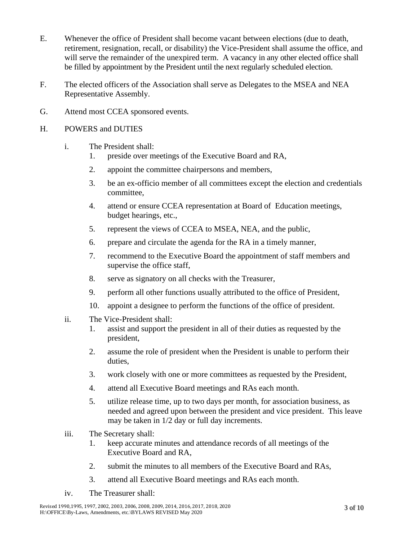- E. Whenever the office of President shall become vacant between elections (due to death, retirement, resignation, recall, or disability) the Vice-President shall assume the office, and will serve the remainder of the unexpired term. A vacancy in any other elected office shall be filled by appointment by the President until the next regularly scheduled election.
- F. The elected officers of the Association shall serve as Delegates to the MSEA and NEA Representative Assembly.
- G. Attend most CCEA sponsored events.
- H. POWERS and DUTIES
	- i. The President shall:
		- 1. preside over meetings of the Executive Board and RA,
		- 2. appoint the committee chairpersons and members,
		- 3. be an ex-officio member of all committees except the election and credentials committee,
		- 4. attend or ensure CCEA representation at Board of Education meetings, budget hearings, etc.,
		- 5. represent the views of CCEA to MSEA, NEA, and the public,
		- 6. prepare and circulate the agenda for the RA in a timely manner,
		- 7. recommend to the Executive Board the appointment of staff members and supervise the office staff,
		- 8. serve as signatory on all checks with the Treasurer,
		- 9. perform all other functions usually attributed to the office of President,
		- 10. appoint a designee to perform the functions of the office of president.
	- ii. The Vice-President shall:
		- 1. assist and support the president in all of their duties as requested by the president,
		- 2. assume the role of president when the President is unable to perform their duties,
		- 3. work closely with one or more committees as requested by the President,
		- 4. attend all Executive Board meetings and RAs each month.
		- 5. utilize release time, up to two days per month, for association business, as needed and agreed upon between the president and vice president. This leave may be taken in 1/2 day or full day increments.
	- iii. The Secretary shall:
		- 1. keep accurate minutes and attendance records of all meetings of the Executive Board and RA,
		- 2. submit the minutes to all members of the Executive Board and RAs,
		- 3. attend all Executive Board meetings and RAs each month.
	- iv. The Treasurer shall: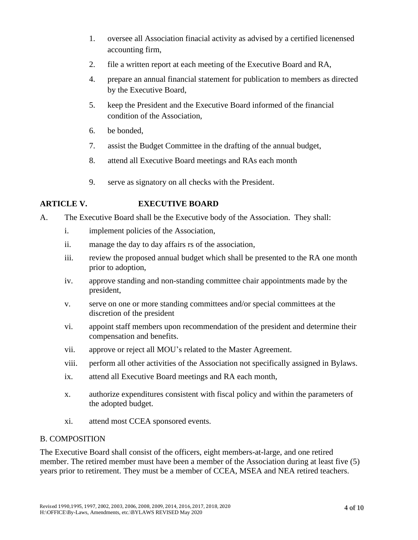- 1. oversee all Association finacial activity as advised by a certified licenensed accounting firm,
- 2. file a written report at each meeting of the Executive Board and RA,
- 4. prepare an annual financial statement for publication to members as directed by the Executive Board,
- 5. keep the President and the Executive Board informed of the financial condition of the Association,
- 6. be bonded,
- 7. assist the Budget Committee in the drafting of the annual budget,
- 8. attend all Executive Board meetings and RAs each month
- 9. serve as signatory on all checks with the President.

# **ARTICLE V. EXECUTIVE BOARD**

- A. The Executive Board shall be the Executive body of the Association. They shall:
	- i. implement policies of the Association,
	- ii. manage the day to day affairs rs of the association,
	- iii. review the proposed annual budget which shall be presented to the RA one month prior to adoption,
	- iv. approve standing and non-standing committee chair appointments made by the president,
	- v. serve on one or more standing committees and/or special committees at the discretion of the president
	- vi. appoint staff members upon recommendation of the president and determine their compensation and benefits.
	- vii. approve or reject all MOU's related to the Master Agreement.
	- viii. perform all other activities of the Association not specifically assigned in Bylaws.
	- ix. attend all Executive Board meetings and RA each month,
	- x. authorize expenditures consistent with fiscal policy and within the parameters of the adopted budget.
	- xi. attend most CCEA sponsored events.

## B. COMPOSITION

The Executive Board shall consist of the officers, eight members-at-large, and one retired member. The retired member must have been a member of the Association during at least five (5) years prior to retirement. They must be a member of CCEA, MSEA and NEA retired teachers.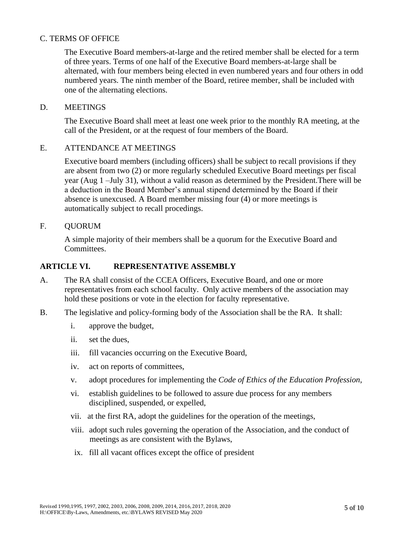#### C. TERMS OF OFFICE

The Executive Board members-at-large and the retired member shall be elected for a term of three years. Terms of one half of the Executive Board members-at-large shall be alternated, with four members being elected in even numbered years and four others in odd numbered years. The ninth member of the Board, retiree member, shall be included with one of the alternating elections.

#### D. MEETINGS

The Executive Board shall meet at least one week prior to the monthly RA meeting, at the call of the President, or at the request of four members of the Board.

### E. ATTENDANCE AT MEETINGS

Executive board members (including officers) shall be subject to recall provisions if they are absent from two (2) or more regularly scheduled Executive Board meetings per fiscal year (Aug 1 –July 31), without a valid reason as determined by the President.There will be a deduction in the Board Member's annual stipend determined by the Board if their absence is unexcused. A Board member missing four (4) or more meetings is automatically subject to recall procedings.

#### F. QUORUM

A simple majority of their members shall be a quorum for the Executive Board and Committees.

#### **ARTICLE VI. REPRESENTATIVE ASSEMBLY**

- A. The RA shall consist of the CCEA Officers, Executive Board, and one or more representatives from each school faculty. Only active members of the association may hold these positions or vote in the election for faculty representative.
- B. The legislative and policy-forming body of the Association shall be the RA. It shall:
	- i. approve the budget,
	- ii. set the dues,
	- iii. fill vacancies occurring on the Executive Board,
	- iv. act on reports of committees,
	- v. adopt procedures for implementing the *Code of Ethics of the Education Profession*,
	- vi. establish guidelines to be followed to assure due process for any members disciplined, suspended, or expelled,
	- vii. at the first RA, adopt the guidelines for the operation of the meetings,
	- viii. adopt such rules governing the operation of the Association, and the conduct of meetings as are consistent with the Bylaws,
	- ix. fill all vacant offices except the office of president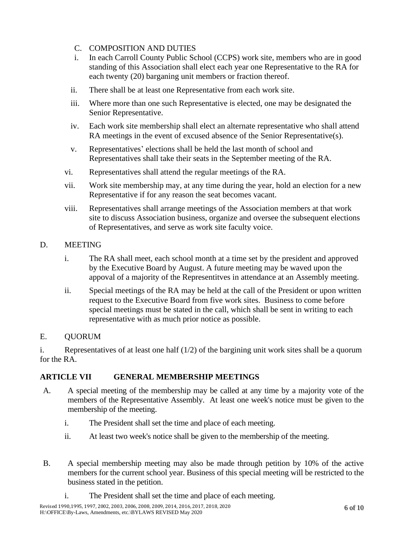- C. COMPOSITION AND DUTIES
- i. In each Carroll County Public School (CCPS) work site, members who are in good standing of this Association shall elect each year one Representative to the RA for each twenty (20) barganing unit members or fraction thereof.
- ii. There shall be at least one Representative from each work site.
- iii. Where more than one such Representative is elected, one may be designated the Senior Representative.
- iv. Each work site membership shall elect an alternate representative who shall attend RA meetings in the event of excused absence of the Senior Representative(s).
- v. Representatives' elections shall be held the last month of school and Representatives shall take their seats in the September meeting of the RA.
- vi. Representatives shall attend the regular meetings of the RA.
- vii. Work site membership may, at any time during the year, hold an election for a new Representative if for any reason the seat becomes vacant.
- viii. Representatives shall arrange meetings of the Association members at that work site to discuss Association business, organize and oversee the subsequent elections of Representatives, and serve as work site faculty voice.
- D. MEETING
	- i. The RA shall meet, each school month at a time set by the president and approved by the Executive Board by August. A future meeting may be waved upon the appoval of a majority of the Representitves in attendance at an Assembly meeting.
	- ii. Special meetings of the RA may be held at the call of the President or upon written request to the Executive Board from five work sites. Business to come before special meetings must be stated in the call, which shall be sent in writing to each representative with as much prior notice as possible.
- E. QUORUM

i. Representatives of at least one half  $(1/2)$  of the bargining unit work sites shall be a quorum for the RA.

# **ARTICLE VII GENERAL MEMBERSHIP MEETINGS**

- A. A special meeting of the membership may be called at any time by a majority vote of the members of the Representative Assembly. At least one week's notice must be given to the membership of the meeting.
	- i. The President shall set the time and place of each meeting.
	- ii. At least two week's notice shall be given to the membership of the meeting.
- B. A special membership meeting may also be made through petition by 10% of the active members for the current school year. Business of this special meeting will be restricted to the business stated in the petition.
	- i. The President shall set the time and place of each meeting.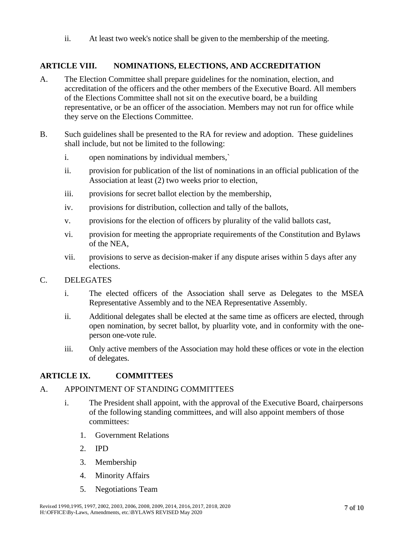ii. At least two week's notice shall be given to the membership of the meeting.

## **ARTICLE VIII. NOMINATIONS, ELECTIONS, AND ACCREDITATION**

- A. The Election Committee shall prepare guidelines for the nomination, election, and accreditation of the officers and the other members of the Executive Board. All members of the Elections Committee shall not sit on the executive board, be a building representative, or be an officer of the association. Members may not run for office while they serve on the Elections Committee.
- B. Such guidelines shall be presented to the RA for review and adoption. These guidelines shall include, but not be limited to the following:
	- i. open nominations by individual members,`
	- ii. provision for publication of the list of nominations in an official publication of the Association at least (2) two weeks prior to election,
	- iii. provisions for secret ballot election by the membership,
	- iv. provisions for distribution, collection and tally of the ballots,
	- v. provisions for the election of officers by plurality of the valid ballots cast,
	- vi. provision for meeting the appropriate requirements of the Constitution and Bylaws of the NEA,
	- vii. provisions to serve as decision-maker if any dispute arises within 5 days after any elections.

#### C. DELEGATES

- i. The elected officers of the Association shall serve as Delegates to the MSEA Representative Assembly and to the NEA Representative Assembly.
- ii. Additional delegates shall be elected at the same time as officers are elected, through open nomination, by secret ballot, by pluarlity vote, and in conformity with the oneperson one-vote rule.
- iii. Only active members of the Association may hold these offices or vote in the election of delegates.

#### **ARTICLE IX. COMMITTEES**

#### A. APPOINTMENT OF STANDING COMMITTEES

- i. The President shall appoint, with the approval of the Executive Board, chairpersons of the following standing committees, and will also appoint members of those committees:
	- 1. Government Relations
	- 2. IPD
	- 3. Membership
	- 4. Minority Affairs
	- 5. Negotiations Team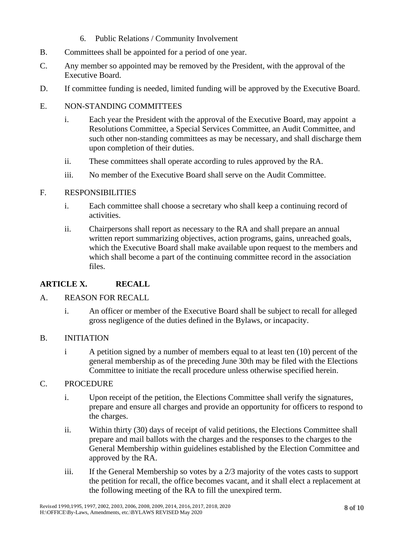- 6. Public Relations / Community Involvement
- B. Committees shall be appointed for a period of one year.
- C. Any member so appointed may be removed by the President, with the approval of the Executive Board.
- D. If committee funding is needed, limited funding will be approved by the Executive Board.

## E. NON-STANDING COMMITTEES

- i. Each year the President with the approval of the Executive Board, may appoint a Resolutions Committee, a Special Services Committee, an Audit Committee, and such other non-standing committees as may be necessary, and shall discharge them upon completion of their duties.
- ii. These committees shall operate according to rules approved by the RA.
- iii. No member of the Executive Board shall serve on the Audit Committee.

## F. RESPONSIBILITIES

- i. Each committee shall choose a secretary who shall keep a continuing record of activities.
- ii. Chairpersons shall report as necessary to the RA and shall prepare an annual written report summarizing objectives, action programs, gains, unreached goals, which the Executive Board shall make available upon request to the members and which shall become a part of the continuing committee record in the association files.

## **ARTICLE X. RECALL**

#### A. REASON FOR RECALL

i. An officer or member of the Executive Board shall be subject to recall for alleged gross negligence of the duties defined in the Bylaws, or incapacity.

#### B. INITIATION

i A petition signed by a number of members equal to at least ten (10) percent of the general membership as of the preceding June 30th may be filed with the Elections Committee to initiate the recall procedure unless otherwise specified herein.

### C. PROCEDURE

- i. Upon receipt of the petition, the Elections Committee shall verify the signatures, prepare and ensure all charges and provide an opportunity for officers to respond to the charges.
- ii. Within thirty (30) days of receipt of valid petitions, the Elections Committee shall prepare and mail ballots with the charges and the responses to the charges to the General Membership within guidelines established by the Election Committee and approved by the RA.
- iii. If the General Membership so votes by a 2/3 majority of the votes casts to support the petition for recall, the office becomes vacant, and it shall elect a replacement at the following meeting of the RA to fill the unexpired term.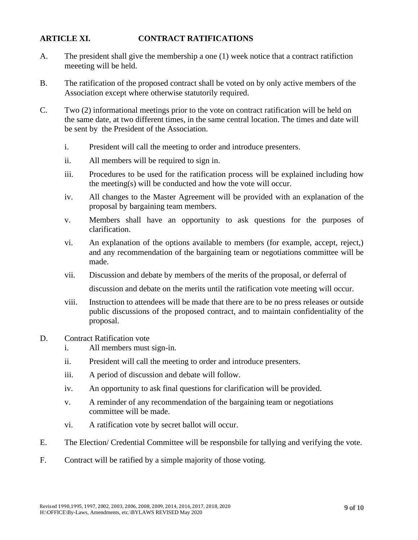## **ARTICLE XI. CONTRACT RATIFICATIONS**

- A. The president shall give the membership a one (1) week notice that a contract ratifiction meeeting will be held.
- B. The ratification of the proposed contract shall be voted on by only active members of the Association except where otherwise statutorily required.
- C. Two (2) informational meetings prior to the vote on contract ratification will be held on the same date, at two different times, in the same central location. The times and date will be sent by the President of the Association.
	- i. President will call the meeting to order and introduce presenters.
	- ii. All members will be required to sign in.
	- iii. Procedures to be used for the ratification process will be explained including how the meeting(s) will be conducted and how the vote will occur.
	- iv. All changes to the Master Agreement will be provided with an explanation of the proposal by bargaining team members.
	- v. Members shall have an opportunity to ask questions for the purposes of clarification.
	- vi. An explanation of the options available to members (for example, accept, reject,) and any recommendation of the bargaining team or negotiations committee will be made.
	- vii. Discussion and debate by members of the merits of the proposal, or deferral of

discussion and debate on the merits until the ratification vote meeting will occur.

- viii. Instruction to attendees will be made that there are to be no press releases or outside public discussions of the proposed contract, and to maintain confidentiality of the proposal.
- D. Contract Ratification vote
	- i. All members must sign-in.
	- ii. President will call the meeting to order and introduce presenters.
	- iii. A period of discussion and debate will follow.
	- iv. An opportunity to ask final questions for clarification will be provided.
	- v. A reminder of any recommendation of the bargaining team or negotiations committee will be made.
	- vi. A ratification vote by secret ballot will occur.
- E. The Election/ Credential Committee will be responsbile for tallying and verifying the vote.
- F. Contract will be ratified by a simple majority of those voting.